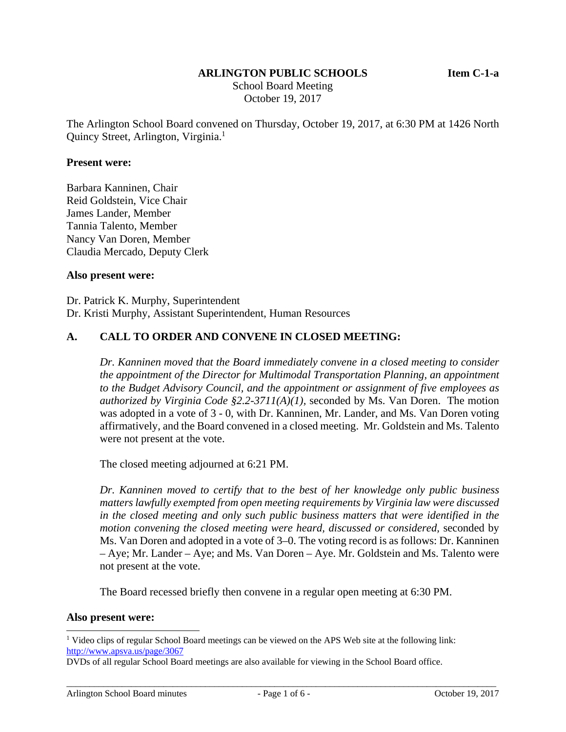#### **ARLINGTON PUBLIC SCHOOLS Item C-1-a**

 School Board Meeting October 19, 2017

The Arlington School Board convened on Thursday, October 19, 2017, at 6:30 PM at 1426 North Quincy Street, Arlington, Virginia.<sup>1</sup>

#### **Present were:**

Barbara Kanninen, Chair Reid Goldstein, Vice Chair James Lander, Member Tannia Talento, Member Nancy Van Doren, Member Claudia Mercado, Deputy Clerk

#### **Also present were:**

Dr. Patrick K. Murphy, Superintendent Dr. Kristi Murphy, Assistant Superintendent, Human Resources

#### **A. CALL TO ORDER AND CONVENE IN CLOSED MEETING:**

*Dr. Kanninen moved that the Board immediately convene in a closed meeting to consider the appointment of the Director for Multimodal Transportation Planning, an appointment to the Budget Advisory Council, and the appointment or assignment of five employees as authorized by Virginia Code §2.2-3711(A)(1),* seconded by Ms. Van Doren. The motion was adopted in a vote of 3 - 0, with Dr. Kanninen, Mr. Lander, and Ms. Van Doren voting affirmatively, and the Board convened in a closed meeting. Mr. Goldstein and Ms. Talento were not present at the vote.

The closed meeting adjourned at 6:21 PM.

*Dr. Kanninen moved to certify that to the best of her knowledge only public business matters lawfully exempted from open meeting requirements by Virginia law were discussed in the closed meeting and only such public business matters that were identified in the motion convening the closed meeting were heard, discussed or considered,* seconded by Ms. Van Doren and adopted in a vote of 3–0. The voting record is as follows: Dr. Kanninen – Aye; Mr. Lander – Aye; and Ms. Van Doren – Aye. Mr. Goldstein and Ms. Talento were not present at the vote.

The Board recessed briefly then convene in a regular open meeting at 6:30 PM.

#### **Also present were:**

l

<sup>&</sup>lt;sup>1</sup> Video clips of regular School Board meetings can be viewed on the APS Web site at the following link: http://www.apsva.us/page/3067

DVDs of all regular School Board meetings are also available for viewing in the School Board office.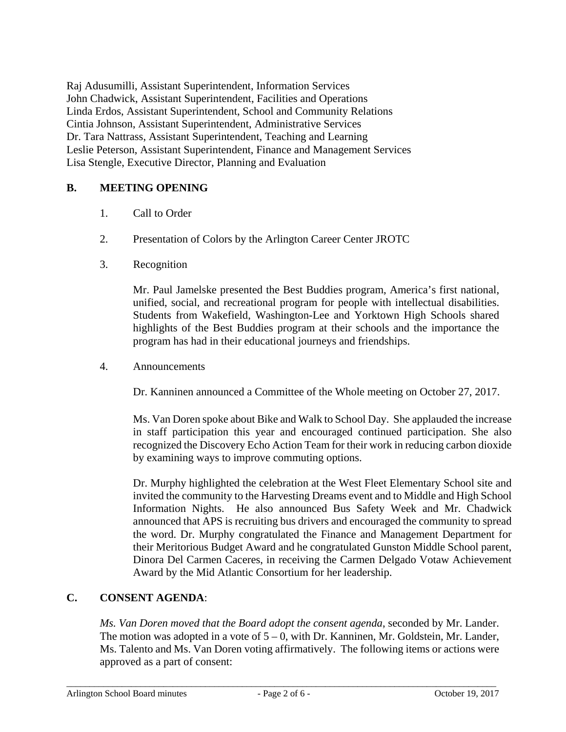Raj Adusumilli, Assistant Superintendent, Information Services John Chadwick, Assistant Superintendent, Facilities and Operations Linda Erdos, Assistant Superintendent, School and Community Relations Cintia Johnson, Assistant Superintendent, Administrative Services Dr. Tara Nattrass, Assistant Superintendent, Teaching and Learning Leslie Peterson, Assistant Superintendent, Finance and Management Services Lisa Stengle, Executive Director, Planning and Evaluation

# **B. MEETING OPENING**

- 1. Call to Order
- 2. Presentation of Colors by the Arlington Career Center JROTC
- 3. Recognition

Mr. Paul Jamelske presented the Best Buddies program, America's first national, unified, social, and recreational program for people with intellectual disabilities. Students from Wakefield, Washington-Lee and Yorktown High Schools shared highlights of the Best Buddies program at their schools and the importance the program has had in their educational journeys and friendships.

4. Announcements

Dr. Kanninen announced a Committee of the Whole meeting on October 27, 2017.

Ms. Van Doren spoke about Bike and Walk to School Day. She applauded the increase in staff participation this year and encouraged continued participation. She also recognized the Discovery Echo Action Team for their work in reducing carbon dioxide by examining ways to improve commuting options.

Dr. Murphy highlighted the celebration at the West Fleet Elementary School site and invited the community to the Harvesting Dreams event and to Middle and High School Information Nights. He also announced Bus Safety Week and Mr. Chadwick announced that APS is recruiting bus drivers and encouraged the community to spread the word. Dr. Murphy congratulated the Finance and Management Department for their Meritorious Budget Award and he congratulated Gunston Middle School parent, Dinora Del Carmen Caceres, in receiving the Carmen Delgado Votaw Achievement Award by the Mid Atlantic Consortium for her leadership.

## **C. CONSENT AGENDA**:

*Ms. Van Doren moved that the Board adopt the consent agenda*, seconded by Mr. Lander. The motion was adopted in a vote of  $5 - 0$ , with Dr. Kanninen, Mr. Goldstein, Mr. Lander, Ms. Talento and Ms. Van Doren voting affirmatively. The following items or actions were approved as a part of consent: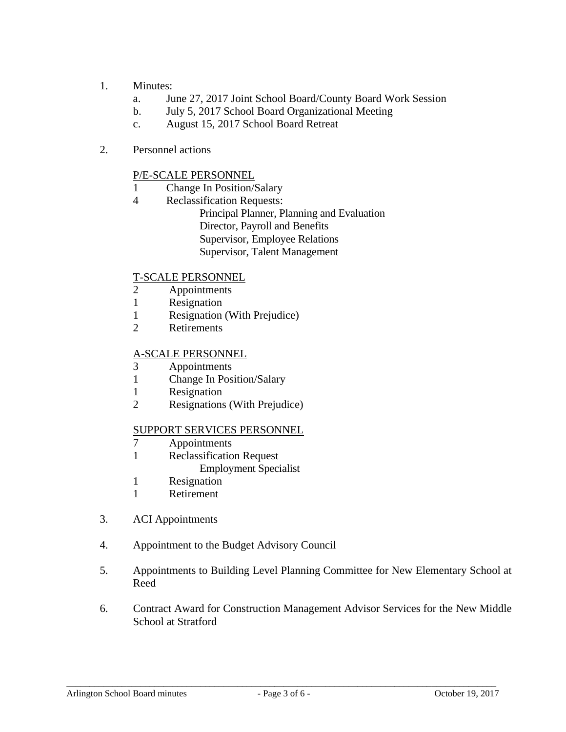- 1. Minutes:
	- a. June 27, 2017 Joint School Board/County Board Work Session
	- b. July 5, 2017 School Board Organizational Meeting
	- c. August 15, 2017 School Board Retreat
- 2. Personnel actions

# P/E-SCALE PERSONNEL

- 1 Change In Position/Salary
- 4 Reclassification Requests:
	- Principal Planner, Planning and Evaluation Director, Payroll and Benefits Supervisor, Employee Relations Supervisor, Talent Management

# T-SCALE PERSONNEL

- 2 Appointments
- 1 Resignation
- 1 Resignation (With Prejudice)
- 2 Retirements

## A-SCALE PERSONNEL

- 3 Appointments
- 1 Change In Position/Salary
- 1 Resignation
- 2 Resignations (With Prejudice)

# SUPPORT SERVICES PERSONNEL

- 7 Appointments
- 1 Reclassification Request
	- Employment Specialist
- 1 Resignation
- 1 Retirement
- 3. ACI Appointments
- 4. Appointment to the Budget Advisory Council
- 5. Appointments to Building Level Planning Committee for New Elementary School at Reed
- 6. Contract Award for Construction Management Advisor Services for the New Middle School at Stratford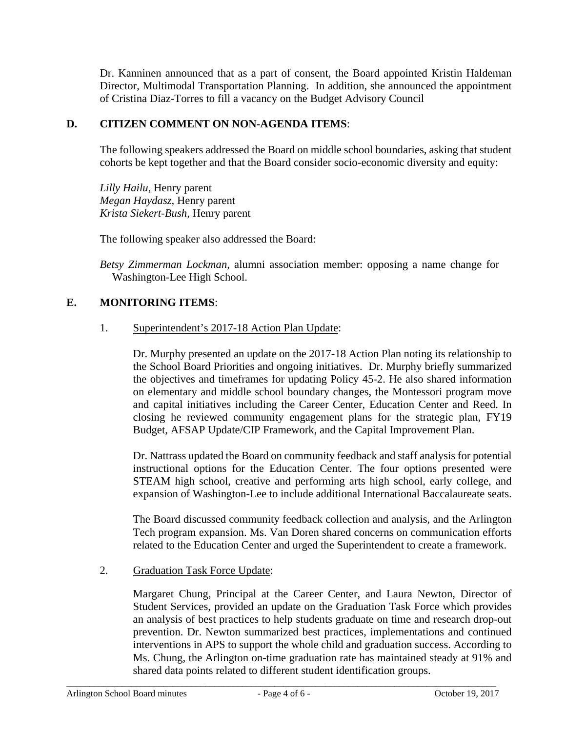Dr. Kanninen announced that as a part of consent, the Board appointed Kristin Haldeman Director, Multimodal Transportation Planning. In addition, she announced the appointment of Cristina Diaz-Torres to fill a vacancy on the Budget Advisory Council

## **D. CITIZEN COMMENT ON NON-AGENDA ITEMS**:

The following speakers addressed the Board on middle school boundaries, asking that student cohorts be kept together and that the Board consider socio-economic diversity and equity:

*Lilly Hailu,* Henry parent *Megan Haydasz,* Henry parent *Krista Siekert-Bush,* Henry parent

The following speaker also addressed the Board:

*Betsy Zimmerman Lockman,* alumni association member: opposing a name change for Washington-Lee High School.

## **E. MONITORING ITEMS**:

## 1. Superintendent's 2017-18 Action Plan Update:

Dr. Murphy presented an update on the 2017-18 Action Plan noting its relationship to the School Board Priorities and ongoing initiatives. Dr. Murphy briefly summarized the objectives and timeframes for updating Policy 45-2. He also shared information on elementary and middle school boundary changes, the Montessori program move and capital initiatives including the Career Center, Education Center and Reed. In closing he reviewed community engagement plans for the strategic plan, FY19 Budget, AFSAP Update/CIP Framework, and the Capital Improvement Plan.

Dr. Nattrass updated the Board on community feedback and staff analysis for potential instructional options for the Education Center. The four options presented were STEAM high school, creative and performing arts high school, early college, and expansion of Washington-Lee to include additional International Baccalaureate seats.

The Board discussed community feedback collection and analysis, and the Arlington Tech program expansion. Ms. Van Doren shared concerns on communication efforts related to the Education Center and urged the Superintendent to create a framework.

## 2. Graduation Task Force Update:

Margaret Chung, Principal at the Career Center, and Laura Newton, Director of Student Services, provided an update on the Graduation Task Force which provides an analysis of best practices to help students graduate on time and research drop-out prevention. Dr. Newton summarized best practices, implementations and continued interventions in APS to support the whole child and graduation success. According to Ms. Chung, the Arlington on-time graduation rate has maintained steady at 91% and shared data points related to different student identification groups.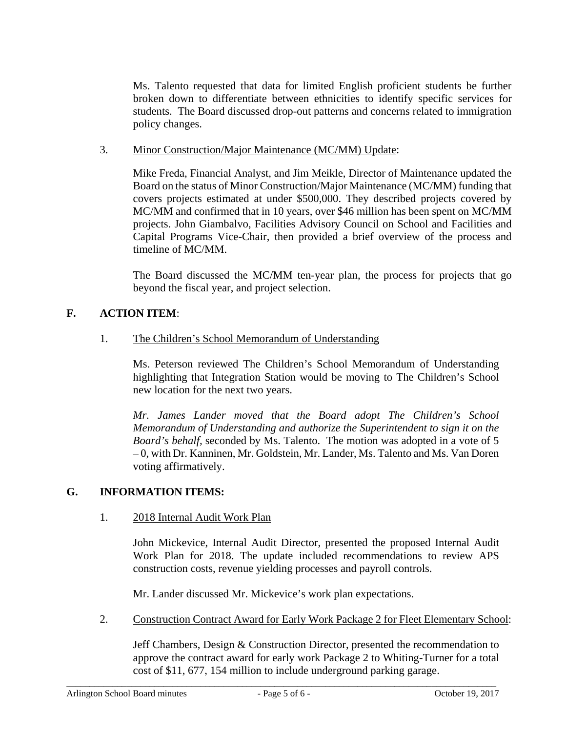Ms. Talento requested that data for limited English proficient students be further broken down to differentiate between ethnicities to identify specific services for students. The Board discussed drop-out patterns and concerns related to immigration policy changes.

## 3. Minor Construction/Major Maintenance (MC/MM) Update:

Mike Freda, Financial Analyst, and Jim Meikle, Director of Maintenance updated the Board on the status of Minor Construction/Major Maintenance (MC/MM) funding that covers projects estimated at under \$500,000. They described projects covered by MC/MM and confirmed that in 10 years, over \$46 million has been spent on MC/MM projects. John Giambalvo, Facilities Advisory Council on School and Facilities and Capital Programs Vice-Chair, then provided a brief overview of the process and timeline of MC/MM.

The Board discussed the MC/MM ten-year plan, the process for projects that go beyond the fiscal year, and project selection.

# **F. ACTION ITEM**:

## 1. The Children's School Memorandum of Understanding

Ms. Peterson reviewed The Children's School Memorandum of Understanding highlighting that Integration Station would be moving to The Children's School new location for the next two years.

*Mr. James Lander moved that the Board adopt The Children's School Memorandum of Understanding and authorize the Superintendent to sign it on the Board's behalf,* seconded by Ms. Talento. The motion was adopted in a vote of 5 – 0, with Dr. Kanninen, Mr. Goldstein, Mr. Lander, Ms. Talento and Ms. Van Doren voting affirmatively.

## **G. INFORMATION ITEMS:**

## 1. 2018 Internal Audit Work Plan

John Mickevice, Internal Audit Director, presented the proposed Internal Audit Work Plan for 2018. The update included recommendations to review APS construction costs, revenue yielding processes and payroll controls.

Mr. Lander discussed Mr. Mickevice's work plan expectations.

2. Construction Contract Award for Early Work Package 2 for Fleet Elementary School:

Jeff Chambers, Design & Construction Director, presented the recommendation to approve the contract award for early work Package 2 to Whiting-Turner for a total cost of \$11, 677, 154 million to include underground parking garage.